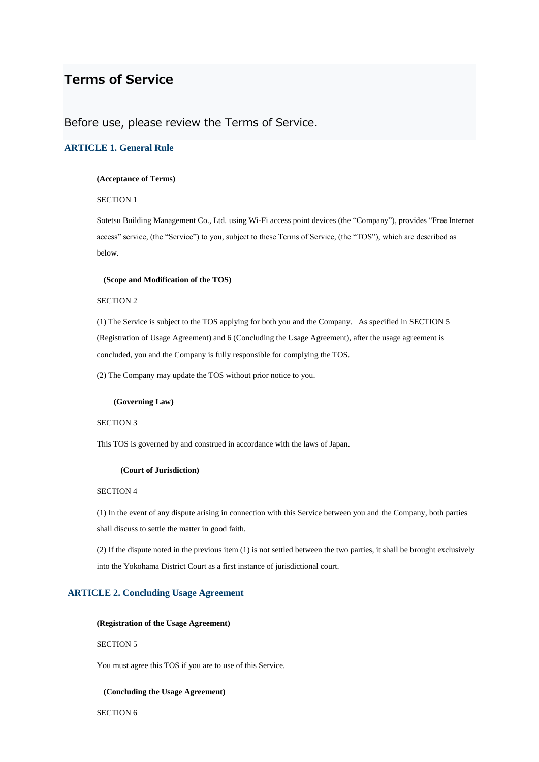# **Terms of Service**

# Before use, please review the Terms of Service.

# **ARTICLE 1. General Rule**

### **(Acceptance of Terms)**

# SECTION 1

Sotetsu Building Management Co., Ltd. using Wi-Fi access point devices (the "Company"), provides "Free Internet access" service, (the "Service") to you, subject to these Terms of Service, (the "TOS"), which are described as below.

#### **(Scope and Modification of the TOS)**

### SECTION 2

(1) The Service is subject to the TOS applying for both you and the Company. As specified in SECTION 5 (Registration of Usage Agreement) and 6 (Concluding the Usage Agreement), after the usage agreement is concluded, you and the Company is fully responsible for complying the TOS.

(2) The Company may update the TOS without prior notice to you.

### **(Governing Law)**

# SECTION 3

This TOS is governed by and construed in accordance with the laws of Japan.

# **(Court of Jurisdiction)**

# SECTION 4

(1) In the event of any dispute arising in connection with this Service between you and the Company, both parties shall discuss to settle the matter in good faith.

(2) If the dispute noted in the previous item (1) is not settled between the two parties, it shall be brought exclusively into the Yokohama District Court as a first instance of jurisdictional court.

# **ARTICLE 2. Concluding Usage Agreement**

### **(Registration of the Usage Agreement)**

### SECTION 5

You must agree this TOS if you are to use of this Service.

### **(Concluding the Usage Agreement)**

SECTION 6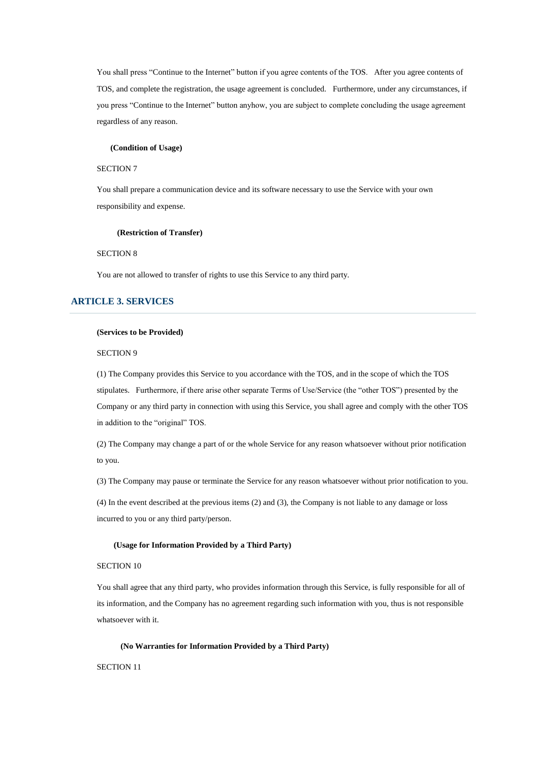You shall press "Continue to the Internet" button if you agree contents of the TOS. After you agree contents of TOS, and complete the registration, the usage agreement is concluded. Furthermore, under any circumstances, if you press "Continue to the Internet" button anyhow, you are subject to complete concluding the usage agreement regardless of any reason.

#### **(Condition of Usage)**

#### SECTION 7

You shall prepare a communication device and its software necessary to use the Service with your own responsibility and expense.

#### **(Restriction of Transfer)**

### SECTION 8

You are not allowed to transfer of rights to use this Service to any third party.

# **ARTICLE 3. SERVICES**

### **(Services to be Provided)**

### SECTION 9

(1) The Company provides this Service to you accordance with the TOS, and in the scope of which the TOS stipulates. Furthermore, if there arise other separate Terms of Use/Service (the "other TOS") presented by the Company or any third party in connection with using this Service, you shall agree and comply with the other TOS in addition to the "original" TOS.

(2) The Company may change a part of or the whole Service for any reason whatsoever without prior notification to you.

(3) The Company may pause or terminate the Service for any reason whatsoever without prior notification to you.

(4) In the event described at the previous items (2) and (3), the Company is not liable to any damage or loss incurred to you or any third party/person.

#### **(Usage for Information Provided by a Third Party)**

#### SECTION 10

You shall agree that any third party, who provides information through this Service, is fully responsible for all of its information, and the Company has no agreement regarding such information with you, thus is not responsible whatsoever with it.

### **(No Warranties for Information Provided by a Third Party)**

SECTION 11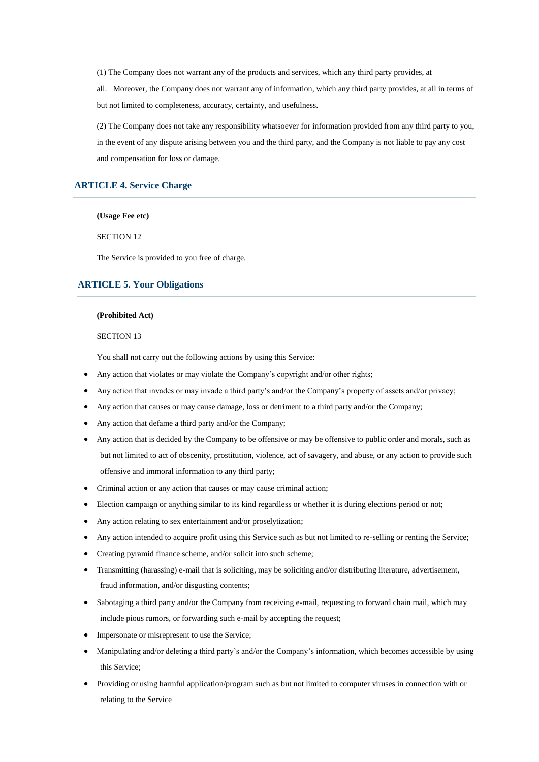(1) The Company does not warrant any of the products and services, which any third party provides, at

all. Moreover, the Company does not warrant any of information, which any third party provides, at all in terms of but not limited to completeness, accuracy, certainty, and usefulness.

(2) The Company does not take any responsibility whatsoever for information provided from any third party to you, in the event of any dispute arising between you and the third party, and the Company is not liable to pay any cost and compensation for loss or damage.

### **ARTICLE 4. Service Charge**

**(Usage Fee etc)**

SECTION 12

The Service is provided to you free of charge.

# **ARTICLE 5. Your Obligations**

### **(Prohibited Act)**

SECTION 13

You shall not carry out the following actions by using this Service:

- Any action that violates or may violate the Company's copyright and/or other rights;
- Any action that invades or may invade a third party's and/or the Company's property of assets and/or privacy;
- Any action that causes or may cause damage, loss or detriment to a third party and/or the Company;
- Any action that defame a third party and/or the Company;
- Any action that is decided by the Company to be offensive or may be offensive to public order and morals, such as but not limited to act of obscenity, prostitution, violence, act of savagery, and abuse, or any action to provide such offensive and immoral information to any third party;
- Criminal action or any action that causes or may cause criminal action;
- Election campaign or anything similar to its kind regardless or whether it is during elections period or not;
- Any action relating to sex entertainment and/or proselytization;
- Any action intended to acquire profit using this Service such as but not limited to re-selling or renting the Service;
- Creating pyramid finance scheme, and/or solicit into such scheme;
- Transmitting (harassing) e-mail that is soliciting, may be soliciting and/or distributing literature, advertisement, fraud information, and/or disgusting contents;
- Sabotaging a third party and/or the Company from receiving e-mail, requesting to forward chain mail, which may include pious rumors, or forwarding such e-mail by accepting the request;
- Impersonate or misrepresent to use the Service;
- Manipulating and/or deleting a third party's and/or the Company's information, which becomes accessible by using this Service;
- Providing or using harmful application/program such as but not limited to computer viruses in connection with or relating to the Service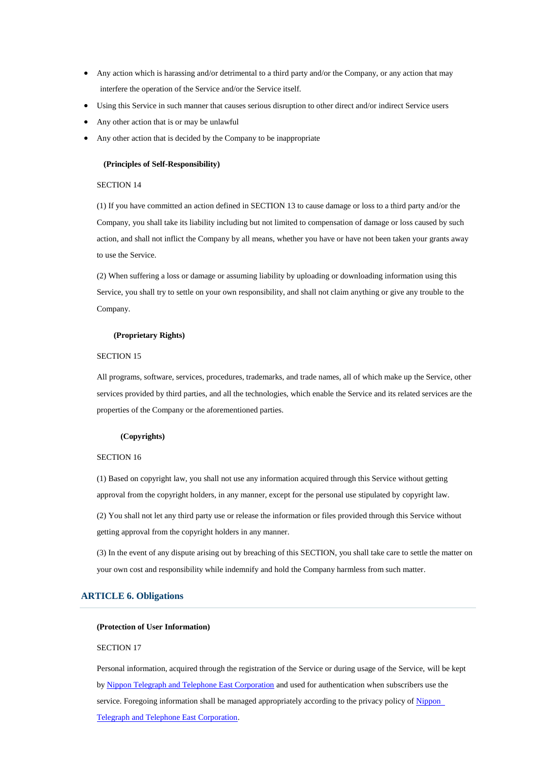- Any action which is harassing and/or detrimental to a third party and/or the Company, or any action that may interfere the operation of the Service and/or the Service itself.
- Using this Service in such manner that causes serious disruption to other direct and/or indirect Service users
- Any other action that is or may be unlawful
- Any other action that is decided by the Company to be inappropriate

### **(Principles of Self-Responsibility)**

### SECTION 14

(1) If you have committed an action defined in SECTION 13 to cause damage or loss to a third party and/or the Company, you shall take its liability including but not limited to compensation of damage or loss caused by such action, and shall not inflict the Company by all means, whether you have or have not been taken your grants away to use the Service.

(2) When suffering a loss or damage or assuming liability by uploading or downloading information using this Service, you shall try to settle on your own responsibility, and shall not claim anything or give any trouble to the Company.

### **(Proprietary Rights)**

### SECTION 15

All programs, software, services, procedures, trademarks, and trade names, all of which make up the Service, other services provided by third parties, and all the technologies, which enable the Service and its related services are the properties of the Company or the aforementioned parties.

#### **(Copyrights)**

### SECTION 16

(1) Based on copyright law, you shall not use any information acquired through this Service without getting approval from the copyright holders, in any manner, except for the personal use stipulated by copyright law.

(2) You shall not let any third party use or release the information or files provided through this Service without getting approval from the copyright holders in any manner.

(3) In the event of any dispute arising out by breaching of this SECTION, you shall take care to settle the matter on your own cost and responsibility while indemnify and hold the Company harmless from such matter.

### **ARTICLE 6. Obligations**

#### **(Protection of User Information)**

### SECTION 17

Personal information, acquired through the registration of the Service or during usage of the Service, will be kept by [Nippon Telegraph and Telephone East Corporation](https://www.ntt-east.co.jp/en/copyright/) and used for authentication when subscribers use the service. Foregoing information shall be managed appropriately according to the privacy policy of Nippon [Telegraph and Telephone East Corporation.](https://www.ntt-east.co.jp/en/copyright/)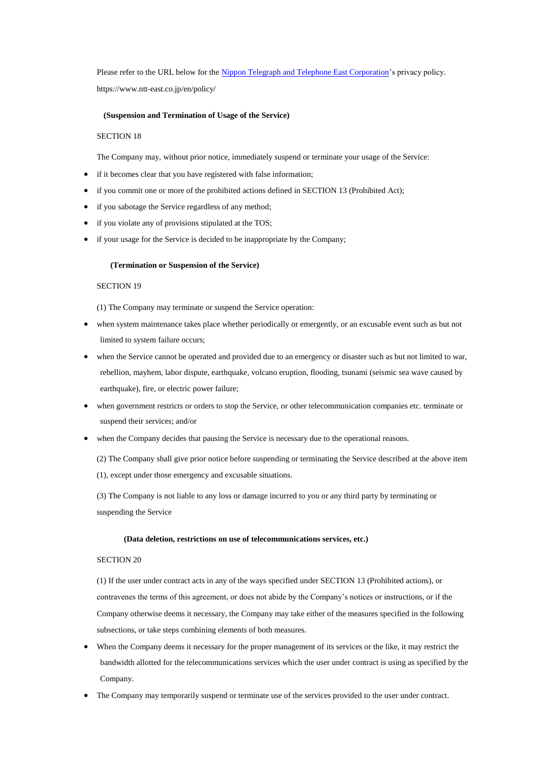Please refer to the URL below for the [Nippon Telegraph and Telephone East Corporation'](https://www.ntt-east.co.jp/en/copyright/)s privacy policy. https://www.ntt-east.co.jp/en/policy/

### **(Suspension and Termination of Usage of the Service)**

### SECTION 18

The Company may, without prior notice, immediately suspend or terminate your usage of the Service:

- if it becomes clear that you have registered with false information;
- if you commit one or more of the prohibited actions defined in SECTION 13 (Prohibited Act);
- if you sabotage the Service regardless of any method;
- if you violate any of provisions stipulated at the TOS;
- if your usage for the Service is decided to be inappropriate by the Company;

#### **(Termination or Suspension of the Service)**

#### SECTION 19

(1) The Company may terminate or suspend the Service operation:

- when system maintenance takes place whether periodically or emergently, or an excusable event such as but not limited to system failure occurs;
- when the Service cannot be operated and provided due to an emergency or disaster such as but not limited to war, rebellion, mayhem, labor dispute, earthquake, volcano eruption, flooding, tsunami (seismic sea wave caused by earthquake), fire, or electric power failure;
- when government restricts or orders to stop the Service, or other telecommunication companies etc. terminate or suspend their services; and/or
- when the Company decides that pausing the Service is necessary due to the operational reasons.
	- (2) The Company shall give prior notice before suspending or terminating the Service described at the above item

(1), except under those emergency and excusable situations.

(3) The Company is not liable to any loss or damage incurred to you or any third party by terminating or suspending the Service

### **(Data deletion, restrictions on use of telecommunications services, etc.)**

# SECTION 20

(1) If the user under contract acts in any of the ways specified under SECTION 13 (Prohibited actions), or contravenes the terms of this agreement, or does not abide by the Company's notices or instructions, or if the Company otherwise deems it necessary, the Company may take either of the measures specified in the following subsections, or take steps combining elements of both measures.

- When the Company deems it necessary for the proper management of its services or the like, it may restrict the bandwidth allotted for the telecommunications services which the user under contract is using as specified by the Company.
- The Company may temporarily suspend or terminate use of the services provided to the user under contract.